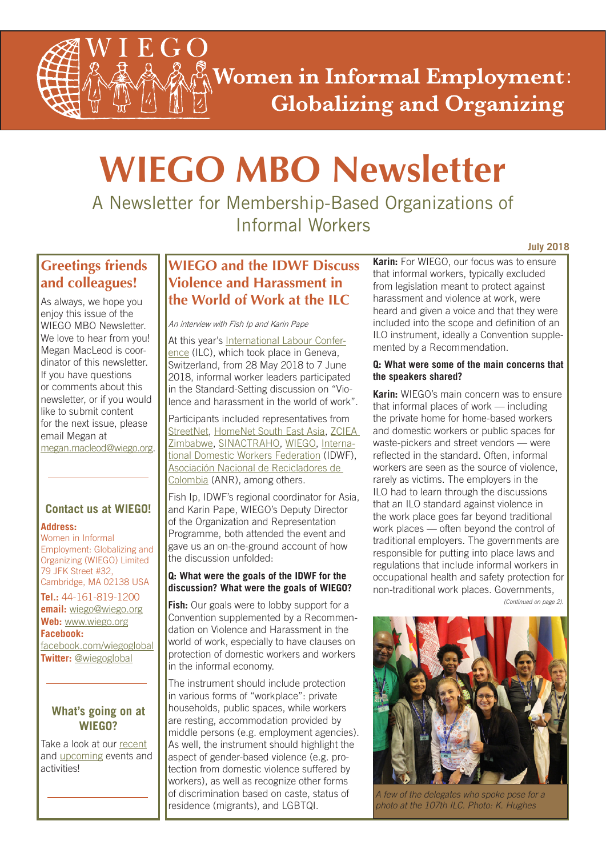**Women in Informal Employment: Globalizing and Organizing** 

# **WIEGO MBO Newsletter**

A Newsletter for Membership-Based Organizations of Informal Workers

# **Greetings friends and colleagues!**

As always, we hope you enjoy this issue of the WIEGO MBO Newsletter. We love to hear from you! Megan MacLeod is coordinator of this newsletter. If you have questions or comments about this newsletter, or if you would like to submit content for the next issue, please email Megan at megan.macleod@wiego.org.

## **Contact us at WIEGO!**

## **Address:**

Women in Informal Employment: Globalizing and Organizing (WIEGO) Limited 79 JFK Street #32, Cambridge, MA 02138 USA

**Tel.:** 44-161-819-1200 **email:** wiego@wiego.org **Web:** www.wiego.org **Facebook:** [facebook.com/wiegoglobal](https://www.facebook.com/wiegoglobal)

**Twitter:** [@wiegoglobal](https://twitter.com/wiegoglobal)

## **What's going on at WIEGO?**

Take a look at our [recent](http://www.wiego.org/news-events/archive) and [upcoming](http://www.wiego.org/events) events and activities!

# **WIEGO and the IDWF Discuss Violence and Harassment in the World of Work at the ILC**

An interview with Fish Ip and Karin Pape

[At this year's International Labour Confer](http://www.ilo.org/ilc/ILCSessions/107/lang--en/index.htm)ence (ILC), which took place in Geneva, Switzerland, from 28 May 2018 to 7 June 2018, informal worker leaders participated in the Standard-Setting discussion on "Violence and harassment in the world of work".

Participants included representatives from [StreetNet, HomeNet South East Asia, ZCIEA](http://www.zciea.org.zw/)  [Zimbabwe, SINACTRAHO, WIEGO, Interna](http://idwfed.org/en)tional Domestic Workers Federation (IDWF), [Asociación Nacional de Recicladores de](https://www.anrcolombia.org/anrenaccion)  Colombia (ANR), among others.

Fish Ip, IDWF's regional coordinator for Asia, and Karin Pape, WIEGO's Deputy Director of the Organization and Representation Programme, both attended the event and gave us an on-the-ground account of how the discussion unfolded:

## **Q: What were the goals of the IDWF for the discussion? What were the goals of WIEGO?**

**Fish:** Our goals were to lobby support for a Convention supplemented by a Recommendation on Violence and Harassment in the world of work, especially to have clauses on protection of domestic workers and workers in the informal economy.

The instrument should include protection in various forms of "workplace": private households, public spaces, while workers are resting, accommodation provided by middle persons (e.g. employment agencies). As well, the instrument should highlight the aspect of gender-based violence (e.g. protection from domestic violence suffered by workers), as well as recognize other forms of discrimination based on caste, status of residence (migrants), and LGBTQI.

**Karin:** For WIEGO, our focus was to ensure that informal workers, typically excluded from legislation meant to protect against harassment and violence at work, were heard and given a voice and that they were included into the scope and definition of an ILO instrument, ideally a Convention supplemented by a Recommendation.

## **Q: What were some of the main concerns that the speakers shared?**

**Karin:** WIEGO's main concern was to ensure that informal places of work — including the private home for home-based workers and domestic workers or public spaces for waste-pickers and street vendors — were reflected in the standard. Often, informal workers are seen as the source of violence, rarely as victims. The employers in the ILO had to learn through the discussions that an ILO standard against violence in the work place goes far beyond traditional work places — often beyond the control of traditional employers. The governments are responsible for putting into place laws and regulations that include informal workers in occupational health and safety protection for non-traditional work places. Governments,

*(Continued on page 2).*



*A few of the delegates who spoke pose for a photo at the 107th ILC. Photo: K. Hughes*

#### **July 2018**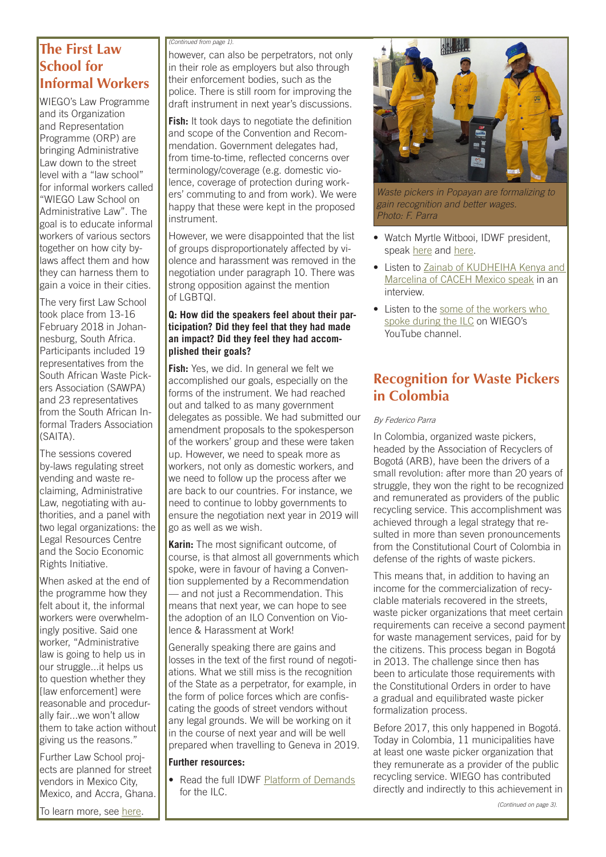# **The First Law School for Informal Workers**

WIEGO's Law Programme and its Organization and Representation Programme (ORP) are bringing Administrative Law down to the street level with a "law school" for informal workers called "WIEGO Law School on Administrative Law". The goal is to educate informal workers of various sectors together on how city bylaws affect them and how they can harness them to gain a voice in their cities.

The very first Law School took place from 13-16 February 2018 in Johannesburg, South Africa. Participants included 19 representatives from the South African Waste Pickers Association (SAWPA) and 23 representatives from the South African Informal Traders Association (SAITA).

The sessions covered by-laws regulating street vending and waste reclaiming, Administrative Law, negotiating with authorities, and a panel with two legal organizations: the Legal Resources Centre and the Socio Economic Rights Initiative.

When asked at the end of the programme how they felt about it, the informal workers were overwhelm-Ingly positive. Said one worker, "Administrative law is going to help us in our struggle...it helps us to question whether they [law enforcement] were reasonable and procedurally fair...we won't allow them to take action without giving us the reasons."

Further Law School projects are planned for street vendors in Mexico City, Mexico, and Accra, Ghana.

To learn more, see [here.](http://www.wiego.org/wiego/core-programmes/law-and-informal-economy)

#### *(Continued from page 1).*

however, can also be perpetrators, not only in their role as employers but also through their enforcement bodies, such as the police. There is still room for improving the draft instrument in next year's discussions.

**Fish:** It took days to negotiate the definition and scope of the Convention and Recommendation. Government delegates had, from time-to-time, reflected concerns over terminology/coverage (e.g. domestic violence, coverage of protection during workers' commuting to and from work). We were happy that these were kept in the proposed instrument.

However, we were disappointed that the list of groups disproportionately affected by violence and harassment was removed in the negotiation under paragraph 10. There was strong opposition against the mention of LGBTQI.

## **Q: How did the speakers feel about their participation? Did they feel that they had made an impact? Did they feel they had accomplished their goals?**

**Fish:** Yes, we did. In general we felt we accomplished our goals, especially on the forms of the instrument. We had reached out and talked to as many government delegates as possible. We had submitted our amendment proposals to the spokesperson of the workers' group and these were taken up. However, we need to speak more as workers, not only as domestic workers, and we need to follow up the process after we are back to our countries. For instance, we need to continue to lobby governments to ensure the negotiation next year in 2019 will go as well as we wish.

**Karin:** The most significant outcome, of course, is that almost all governments which spoke, were in favour of having a Convention supplemented by a Recommendation — and not just a Recommendation. This means that next year, we can hope to see the adoption of an ILO Convention on Violence & Harassment at Work!

Generally speaking there are gains and losses in the text of the first round of negotiations. What we still miss is the recognition of the State as a perpetrator, for example, in the form of police forces which are confiscating the goods of street vendors without any legal grounds. We will be working on it in the course of next year and will be well prepared when travelling to Geneva in 2019.

## **Further resources:**

• Read the full IDWF [Platform of Demands](http://www.idwfed.org/en/resources/platform-of-demands-violence-and-harassment-against-women-and-men-in-the-world-of-work/@@display-file/attachment_1) for the ILC.



*Waste pickers in Popayan are formalizing to gain recognition and better wages. Photo: F. Parra*

- Watch Myrtle Witbooi, IDWF president, speak [here](http://idwfed.org/en/updates/switzerland-idwf-delegation-at-the-international-labor-conference-in-geneva) and [here](http://idwfed.org/en/updates/ilc-107-let-2018-be-the-start-of-freedom-from-abuse-for-domestic-workers).
- [Listen to Zainab of KUDHEIHA Kenya and](https://youtu.be/R8qzH2gUZzQ) Marcelina of CACEH Mexico speak in an interview.
- [Listen to the some of the workers who](https://www.youtube.com/playlist?list=PLOdX1pDW0yXJfaC-VAlaurSQef4tQLkWH) spoke during the ILC on WIEGO's YouTube channel.

# **Recognition for Waste Pickers in Colombia**

#### By Federico Parra

In Colombia, organized waste pickers, headed by the Association of Recyclers of Bogotá (ARB), have been the drivers of a small revolution: after more than 20 years of struggle, they won the right to be recognized and remunerated as providers of the public recycling service. This accomplishment was achieved through a legal strategy that resulted in more than seven pronouncements from the Constitutional Court of Colombia in defense of the rights of waste pickers.

This means that, in addition to having an income for the commercialization of recyclable materials recovered in the streets, waste picker organizations that meet certain requirements can receive a second payment for waste management services, paid for by the citizens. This process began in Bogotá in 2013. The challenge since then has been to articulate those requirements with the Constitutional Orders in order to have a gradual and equilibrated waste picker formalization process.

Before 2017, this only happened in Bogotá. Today in Colombia, 11 municipalities have at least one waste picker organization that they remunerate as a provider of the public recycling service. WIEGO has contributed directly and indirectly to this achievement in